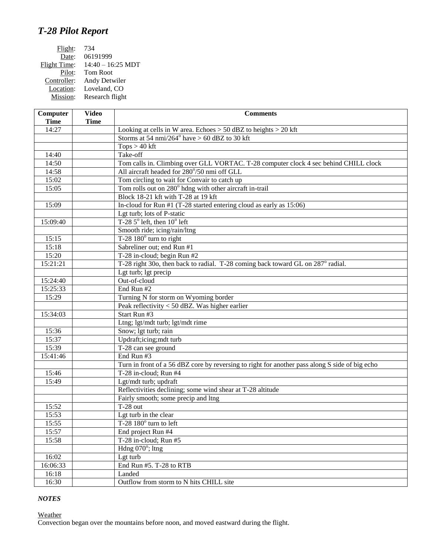## *T-28 Pilot Report*

| Computer<br><b>Time</b> | <b>Video</b><br><b>Time</b> | <b>Comments</b>                                                                                |
|-------------------------|-----------------------------|------------------------------------------------------------------------------------------------|
| 14:27                   |                             | Looking at cells in W area. Echoes $> 50$ dBZ to heights $> 20$ kft                            |
|                         |                             | Storms at 54 nmi/264 $\textdegree$ have > 60 dBZ to 30 kft                                     |
|                         |                             | $Tops > 40$ kft                                                                                |
| 14:40                   |                             | Take-off                                                                                       |
| 14:50                   |                             | Tom calls in. Climbing over GLL VORTAC. T-28 computer clock 4 sec behind CHILL clock           |
| 14:58                   |                             | All aircraft headed for 280°/50 nmi off GLL                                                    |
| 15:02                   |                             | Tom circling to wait for Convair to catch up                                                   |
| 15:05                   |                             | Tom rolls out on 280° hdng with other aircraft in-trail                                        |
|                         |                             | Block 18-21 kft with T-28 at 19 kft                                                            |
| 15:09                   |                             | In-cloud for Run #1 (T-28 started entering cloud as early as 15:06)                            |
|                         |                             | Lgt turb; lots of P-static                                                                     |
| 15:09:40                |                             | T-28 $5^{\circ}$ left, then $10^{\circ}$ left                                                  |
|                         |                             | Smooth ride; icing/rain/ltng                                                                   |
| 15:15                   |                             | T-28 $180^\circ$ turn to right                                                                 |
| 15:18                   |                             | Sabreliner out; end Run #1                                                                     |
| 15:20                   |                             | T-28 in-cloud; begin Run #2                                                                    |
| 15:21:21                |                             | T-28 right 30o, then back to radial. T-28 coming back toward GL on 287° radial.                |
|                         |                             | Lgt turb; lgt precip                                                                           |
| 15:24:40                |                             | Out-of-cloud                                                                                   |
| 15:25:33                |                             | End Run $#2$                                                                                   |
| 15:29                   |                             | Turning N for storm on Wyoming border                                                          |
|                         |                             | Peak reflectivity < 50 dBZ. Was higher earlier                                                 |
| 15:34:03                |                             | Start Run #3                                                                                   |
|                         |                             | Ltng; lgt/mdt turb; lgt/mdt rime                                                               |
| 15:36                   |                             | Snow; lgt turb; rain                                                                           |
| 15:37                   |                             | Updraft;icing;mdt turb                                                                         |
| 15:39                   |                             | T-28 can see ground                                                                            |
| 15:41:46                |                             | End Run #3                                                                                     |
|                         |                             | Turn in front of a 56 dBZ core by reversing to right for another pass along S side of big echo |
| 15:46                   |                             | T-28 in-cloud; Run #4                                                                          |
| 15:49                   |                             | Lgt/mdt turb; updraft                                                                          |
|                         |                             | Reflectivities declining; some wind shear at T-28 altitude                                     |
|                         |                             | Fairly smooth; some precip and ltng                                                            |
| 15:52                   |                             | $T-28$ out                                                                                     |
| 15:53                   |                             | Lgt turb in the clear                                                                          |
| 15:55                   |                             | T-28 180° turn to left                                                                         |
| 15:57                   |                             | End project Run #4                                                                             |
| 15:58                   |                             | T-28 in-cloud; Run $#5$                                                                        |
|                         |                             | Hdng $070^\circ$ ; ltng                                                                        |
| 16:02                   |                             | Lgt turb                                                                                       |
| 16:06:33                |                             | End Run #5. T-28 to RTB                                                                        |
| 16:18                   |                             | Landed                                                                                         |
| 16:30                   |                             | Outflow from storm to N hits CHILL site                                                        |

## *NOTES*